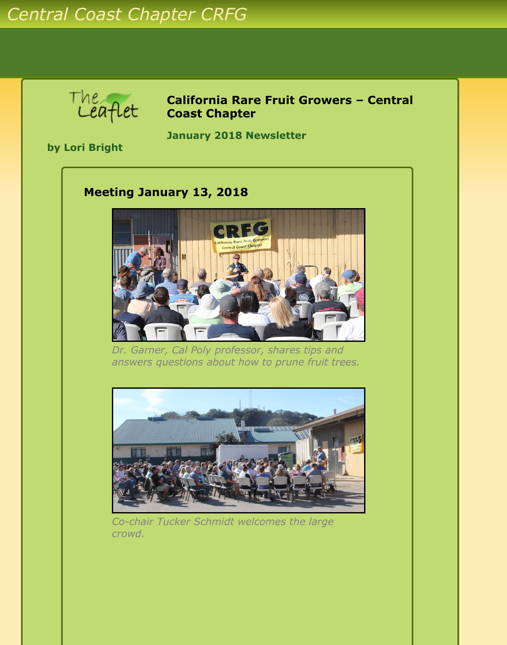

**California Rare Fruit Growers – Central Coast Chapter**

**by Lori Bright**

**January 2018 Newsletter** 

## **Meeting January 13, 2018**



*Dr. Garner, Cal Poly professor, shares tips and answers questions about how to prune fruit trees.*



*Co-chair Tucker Schmidt welcomes the large crowd.*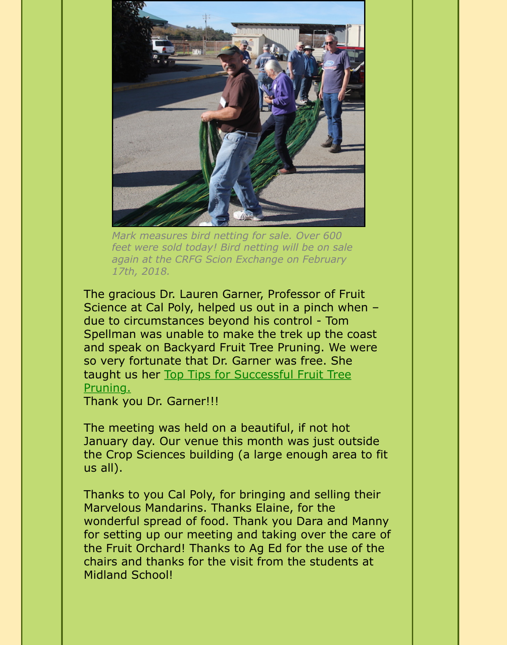

*Mark measures bird netting for sale. Over 600 feet were sold today! Bird netting will be on sale again at the CRFG Scion Exchange on February 17th, 2018.*

The gracious Dr. Lauren Garner, Professor of Fruit Science at Cal Poly, helped us out in a pinch when – due to circumstances beyond his control - Tom Spellman was unable to make the trek up the coast and speak on Backyard Fruit Tree Pruning. We were so very fortunate that Dr. Garner was free. She [taught us her Top Tips for Successful Fruit Tree](#page-3-0) Pruning.

Thank you Dr. Garner!!!

The meeting was held on a beautiful, if not hot January day. Our venue this month was just outside the Crop Sciences building (a large enough area to fit us all).

Thanks to you Cal Poly, for bringing and selling their Marvelous Mandarins. Thanks Elaine, for the wonderful spread of food. Thank you Dara and Manny for setting up our meeting and taking over the care of the Fruit Orchard! Thanks to Ag Ed for the use of the chairs and thanks for the visit from the students at Midland School!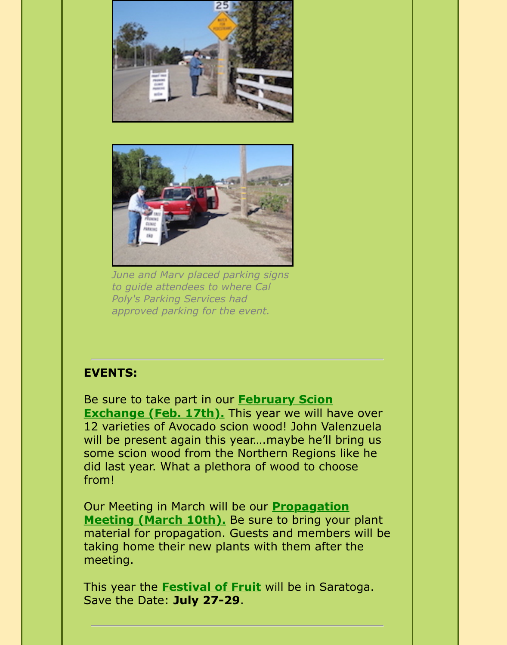



*June and Marv placed parking signs to guide attendees to where Cal Poly's Parking Services had approved parking for the event.*

## **EVENTS:**

[Be sure to take part in our](http://www.crfg-central.org/Newsletters/2018/Jan/calendar.html) **February Scion Exchange (Feb. 17th).** This year we will have over 12 varieties of Avocado scion wood! John Valenzuela will be present again this year....maybe he'll bring us some scion wood from the Northern Regions like he did last year. What a plethora of wood to choose from!

[Our Meeting in March will be our](http://www.crfg-central.org/Newsletters/2018/Jan/calendar.html) **Propagation Meeting (March 10th).** Be sure to bring your plant material for propagation. Guests and members will be taking home their new plants with them after the meeting.

This year the **[Festival of Fruit](http://festivaloffruit.org/)** will be in Saratoga. Save the Date: **July 27-29**.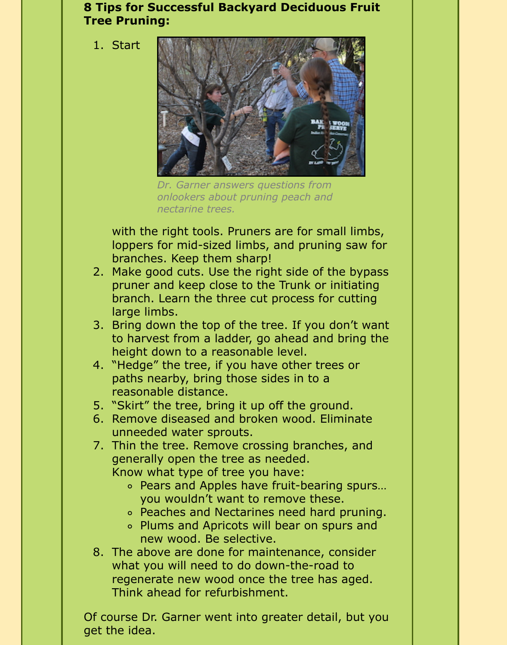## <span id="page-3-0"></span>**8 Tips for Successful Backyard Deciduous Fruit Tree Pruning:**

1. Start



*Dr. Garner answers questions from onlookers about pruning peach and nectarine trees.*

with the right tools. Pruners are for small limbs, loppers for mid-sized limbs, and pruning saw for branches. Keep them sharp!

- 2. Make good cuts. Use the right side of the bypass pruner and keep close to the Trunk or initiating branch. Learn the three cut process for cutting large limbs.
- 3. Bring down the top of the tree. If you don't want to harvest from a ladder, go ahead and bring the height down to a reasonable level.
- 4. "Hedge" the tree, if you have other trees or paths nearby, bring those sides in to a reasonable distance.
- 5. "Skirt" the tree, bring it up off the ground.
- 6. Remove diseased and broken wood. Eliminate unneeded water sprouts.
- 7. Thin the tree. Remove crossing branches, and generally open the tree as needed. Know what type of tree you have:
	- Pears and Apples have fruit-bearing spurs… you wouldn't want to remove these.
	- Peaches and Nectarines need hard pruning.
	- Plums and Apricots will bear on spurs and new wood. Be selective.
- 8. The above are done for maintenance, consider what you will need to do down-the-road to regenerate new wood once the tree has aged. Think ahead for refurbishment.

Of course Dr. Garner went into greater detail, but you get the idea.